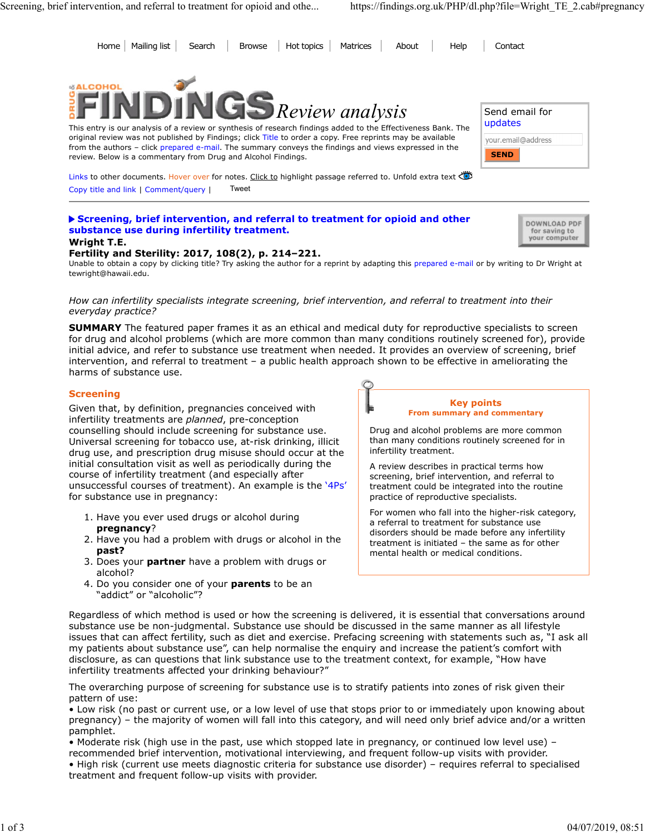Home Mailing list Search Browse Hot topics Matrices About Help Contact Screening, brief intervention, and referral to treatment for opioid and othe... https://findings.org.uk/PHP/dl.php?file=Wright\_TE\_2.cab#pregnancy<br>
Home | Mailing list | Search | Browse | Hot topics | Matrices | About | Hel



This entry is our analysis of a review or synthesis of research findings added to the Effectiveness Bank. The original review was not published by Findings; click Title to order a copy. Free reprints may be available from the authors - click prepared e-mail. The summary conveys the findings and views expressed in the review. Below is a commentary from Drug and Alcohol Findings.

| Send email for<br>updates         |
|-----------------------------------|
| your.email@address<br><b>SEND</b> |

for saving to your computer

Links to other documents. Hover over for notes. Click to highlight passage referred to. Unfold extra text  $\ddot{\ddot{\circ}}$ Copy title and link | Comment/query | Tweet

## Screening, brief intervention, and referral to treatment for opioid and other **Supplement Communisty PDF** substance use during infertility treatment.

#### Wright T.E.

### Fertility and Sterility: 2017, 108(2), p. 214–221.

Unable to obtain a copy by clicking title? Try asking the author for a reprint by adapting this prepared e-mail or by writing to Dr Wright at tewright@hawaii.edu.

### How can infertility specialists integrate screening, brief intervention, and referral to treatment into their everyday practice?

**SUMMARY** The featured paper frames it as an ethical and medical duty for reproductive specialists to screen for drug and alcohol problems (which are more common than many conditions routinely screened for), provide initial advice, and refer to substance use treatment when needed. It provides an overview of screening, brief intervention, and referral to treatment – a public health approach shown to be effective in ameliorating the harms of substance use.

### **Screening**

Given that, by definition, pregnancies conceived with infertility treatments are planned, pre-conception counselling should include screening for substance use. Universal screening for tobacco use, at-risk drinking, illicit drug use, and prescription drug misuse should occur at the initial consultation visit as well as periodically during the course of infertility treatment (and especially after unsuccessful courses of treatment). An example is the '4Ps' for substance use in pregnancy:

- 1. Have you ever used drugs or alcohol during pregnancy?
- 2. Have you had a problem with drugs or alcohol in the  $\frac{1}{2}$  the structure of the same as for c past?
- 3. Does your **partner** have a problem with drugs or alcohol?
- 4. Do you consider one of your **parents** to be an "addict" or "alcoholic"?



Drug and alcohol problems are more common than many conditions routinely screened for in infertility treatment.

A review describes in practical terms how screening, brief intervention, and referral to treatment could be integrated into the routine practice of reproductive specialists.

For women who fall into the higher-risk category, a referral to treatment for substance use disorders should be made before any infertility treatment is initiated – the same as for other mental health or medical conditions.

Regardless of which method is used or how the screening is delivered, it is essential that conversations around substance use be non-judgmental. Substance use should be discussed in the same manner as all lifestyle issues that can affect fertility, such as diet and exercise. Prefacing screening with statements such as, "I ask all my patients about substance use", can help normalise the enquiry and increase the patient's comfort with disclosure, as can questions that link substance use to the treatment context, for example, "How have infertility treatments affected your drinking behaviour?"

The overarching purpose of screening for substance use is to stratify patients into zones of risk given their pattern of use:

• Low risk (no past or current use, or a low level of use that stops prior to or immediately upon knowing about pregnancy) – the majority of women will fall into this category, and will need only brief advice and/or a written pamphlet.

• Moderate risk (high use in the past, use which stopped late in pregnancy, or continued low level use) – recommended brief intervention, motivational interviewing, and frequent follow-up visits with provider. • High risk (current use meets diagnostic criteria for substance use disorder) – requires referral to specialised treatment and frequent follow-up visits with provider.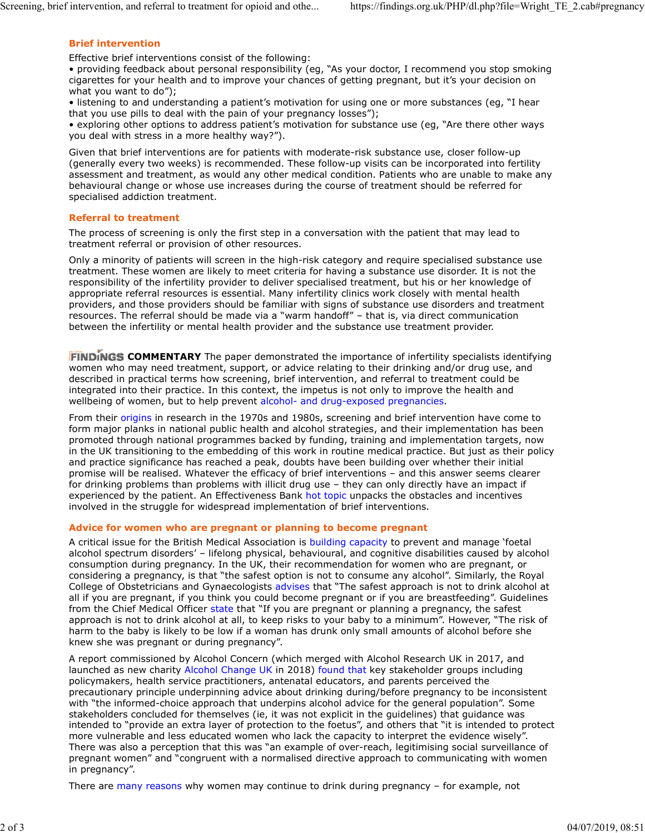## Brief intervention

Effective brief interventions consist of the following:

• providing feedback about personal responsibility (eg, "As your doctor, I recommend you stop smoking cigarettes for your health and to improve your chances of getting pregnant, but it's your decision on what you want to do"); Screening, brief intervention, and referral to treatment for opioid and othe... https://findings.org.uk/PHP/dl.php?file=Wright\_TE\_2.cab#pregnancy<br> **Brief intervention**<br>
Effective brief interventions consist of the followin

• listening to and understanding a patient's motivation for using one or more substances (eg, "I hear that you use pills to deal with the pain of your pregnancy losses");

• exploring other options to address patient's motivation for substance use (eg, "Are there other ways you deal with stress in a more healthy way?").

Given that brief interventions are for patients with moderate-risk substance use, closer follow-up (generally every two weeks) is recommended. These follow-up visits can be incorporated into fertility assessment and treatment, as would any other medical condition. Patients who are unable to make any behavioural change or whose use increases during the course of treatment should be referred for specialised addiction treatment.

### Referral to treatment

The process of screening is only the first step in a conversation with the patient that may lead to treatment referral or provision of other resources.

Only a minority of patients will screen in the high-risk category and require specialised substance use treatment. These women are likely to meet criteria for having a substance use disorder. It is not the responsibility of the infertility provider to deliver specialised treatment, but his or her knowledge of appropriate referral resources is essential. Many infertility clinics work closely with mental health providers, and those providers should be familiar with signs of substance use disorders and treatment resources. The referral should be made via a "warm handoff" – that is, via direct communication between the infertility or mental health provider and the substance use treatment provider.

FINDINGS COMMENTARY The paper demonstrated the importance of infertility specialists identifying women who may need treatment, support, or advice relating to their drinking and/or drug use, and described in practical terms how screening, brief intervention, and referral to treatment could be integrated into their practice. In this context, the impetus is not only to improve the health and wellbeing of women, but to help prevent alcohol- and drug-exposed pregnancies.

From their origins in research in the 1970s and 1980s, screening and brief intervention have come to form major planks in national public health and alcohol strategies, and their implementation has been promoted through national programmes backed by funding, training and implementation targets, now in the UK transitioning to the embedding of this work in routine medical practice. But just as their policy and practice significance has reached a peak, doubts have been building over whether their initial promise will be realised. Whatever the efficacy of brief interventions – and this answer seems clearer for drinking problems than problems with illicit drug use – they can only directly have an impact if experienced by the patient. An Effectiveness Bank hot topic unpacks the obstacles and incentives involved in the struggle for widespread implementation of brief interventions.

#### Advice for women who are pregnant or planning to become pregnant

A critical issue for the British Medical Association is building capacity to prevent and manage 'foetal alcohol spectrum disorders' – lifelong physical, behavioural, and cognitive disabilities caused by alcohol consumption during pregnancy. In the UK, their recommendation for women who are pregnant, or considering a pregnancy, is that "the safest option is not to consume any alcohol". Similarly, the Royal College of Obstetricians and Gynaecologists advises that "The safest approach is not to drink alcohol at all if you are pregnant, if you think you could become pregnant or if you are breastfeeding". Guidelines from the Chief Medical Officer state that "If you are pregnant or planning a pregnancy, the safest approach is not to drink alcohol at all, to keep risks to your baby to a minimum". However, "The risk of harm to the baby is likely to be low if a woman has drunk only small amounts of alcohol before she knew she was pregnant or during pregnancy".

A report commissioned by Alcohol Concern (which merged with Alcohol Research UK in 2017, and launched as new charity Alcohol Change UK in 2018) found that key stakeholder groups including policymakers, health service practitioners, antenatal educators, and parents perceived the precautionary principle underpinning advice about drinking during/before pregnancy to be inconsistent with "the informed-choice approach that underpins alcohol advice for the general population". Some stakeholders concluded for themselves (ie, it was not explicit in the guidelines) that guidance was intended to "provide an extra layer of protection to the foetus", and others that "it is intended to protect more vulnerable and less educated women who lack the capacity to interpret the evidence wisely". There was also a perception that this was "an example of over-reach, legitimising social surveillance of pregnant women" and "congruent with a normalised directive approach to communicating with women in pregnancy".

There are many reasons why women may continue to drink during pregnancy – for example, not